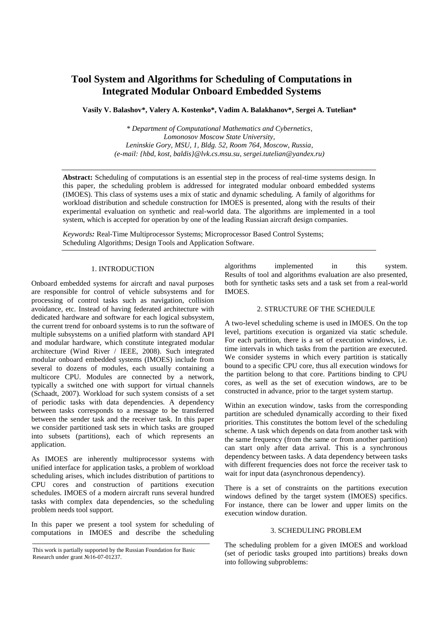# **Tool System and Algorithms for Scheduling of Computations in Integrated Modular Onboard Embedded Systems**

**Vasily V. Balashov\*, Valery A. Kostenko\*, Vadim A. Balakhanov\*, Sergei A. Tutelian\***

*\* Department of Computational Mathematics and Cybernetics, Lomonosov Moscow State University, Leninskie Gory, MSU, 1, Bldg. 52, Room 764, Moscow, Russia, (e-mail: {hbd, kost, baldis}@lvk.cs.msu.su, sergei.tutelian@yandex.ru)*

Abstract: Scheduling of computations is an essential step in the process of real-time systems design. In this paper, the scheduling problem is addressed for integrated modular onboard embedded systems (IMOES). This class of systems uses a mix of static and dynamic scheduling. A family of algorithms for workload distribution and schedule construction for IMOES is presented, along with the results of their experimental evaluation on synthetic and real-world data. The algorithms are implemented in a tool system, which is accepted for operation by one of the leading Russian aircraft design companies.

*Keywords:* Real-Time Multiprocessor Systems; Microprocessor Based Control Systems; Scheduling Algorithms; Design Tools and Application Software.

#### 1. INTRODUCTION

Onboard embedded systems for aircraft and naval purposes are responsible for control of vehicle subsystems and for processing of control tasks such as navigation, collision avoidance, etc. Instead of having federated architecture with dedicated hardware and software for each logical subsystem, the current trend for onboard systems is to run the software of multiple subsystems on a unified platform with standard API and modular hardware, which constitute integrated modular architecture (Wind River / IEEE, 2008). Such integrated modular onboard embedded systems (IMOES) include from several to dozens of modules, each usually containing a multicore CPU. Modules are connected by a network, typically a switched one with support for virtual channels (Schaadt, 2007). Workload for such system consists of a set of periodic tasks with data dependencies. A dependency between tasks corresponds to a message to be transferred between the sender task and the receiver task. In this paper we consider partitioned task sets in which tasks are grouped into subsets (partitions), each of which represents an application.

As IMOES are inherently multiprocessor systems with unified interface for application tasks, a problem of workload scheduling arises, which includes distribution of partitions to CPU cores and construction of partitions execution schedules. IMOES of a modern aircraft runs several hundred tasks with complex data dependencies, so the scheduling problem needs tool support.

In this paper we present a tool system for scheduling of computations in IMOES and describe the scheduling algorithms implemented in this system. Results of tool and algorithms evaluation are also presented, both for synthetic tasks sets and a task set from a real-world IMOES.

#### 2. STRUCTURE OF THE SCHEDULE

A two-level scheduling scheme is used in IMOES. On the top level, partitions execution is organized via static schedule. For each partition, there is a set of execution windows, i.e. time intervals in which tasks from the partition are executed. We consider systems in which every partition is statically bound to a specific CPU core, thus all execution windows for the partition belong to that core. Partitions binding to CPU cores, as well as the set of execution windows, are to be constructed in advance, prior to the target system startup.

Within an execution window, tasks from the corresponding partition are scheduled dynamically according to their fixed priorities. This constitutes the bottom level of the scheduling scheme. A task which depends on data from another task with the same frequency (from the same or from another partition) can start only after data arrival. This is a synchronous dependency between tasks. A data dependency between tasks with different frequencies does not force the receiver task to wait for input data (asynchronous dependency).

There is a set of constraints on the partitions execution windows defined by the target system (IMOES) specifics. For instance, there can be lower and upper limits on the execution window duration.

## 3. SCHEDULING PROBLEM

The scheduling problem for a given IMOES and workload (set of periodic tasks grouped into partitions) breaks down into following subproblems:

This work is partially supported by the Russian Foundation for Basic Research under grant №16-07-01237.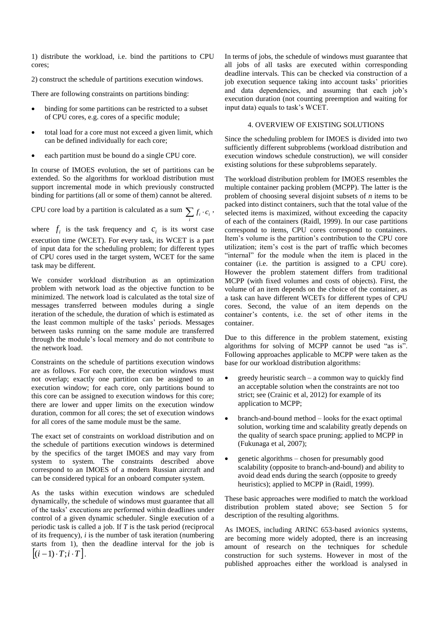1) distribute the workload, i.e. bind the partitions to CPU cores;

2) construct the schedule of partitions execution windows.

There are following constraints on partitions binding:

- binding for some partitions can be restricted to a subset of CPU cores, e.g. cores of a specific module;
- total load for a core must not exceed a given limit, which can be defined individually for each core;
- each partition must be bound do a single CPU core.

In course of IMOES evolution, the set of partitions can be extended. So the algorithms for workload distribution must support incremental mode in which previously constructed binding for partitions (all or some of them) cannot be altered.

CPU core load by a partition is calculated as a sum  $\sum_i f_i \cdot c_i$ .

where  $f_i$  is the task frequency and  $c_i$  is its worst case execution time (WCET). For every task, its WCET is a part of input data for the scheduling problem; for different types of CPU cores used in the target system, WCET for the same task may be different.

We consider workload distribution as an optimization problem with network load as the objective function to be minimized. The network load is calculated as the total size of messages transferred between modules during a single iteration of the schedule, the duration of which is estimated as the least common multiple of the tasks' periods. Messages between tasks running on the same module are transferred through the module's local memory and do not contribute to the network load.

Constraints on the schedule of partitions execution windows are as follows. For each core, the execution windows must not overlap; exactly one partition can be assigned to an execution window; for each core, only partitions bound to this core can be assigned to execution windows for this core; there are lower and upper limits on the execution window duration, common for all cores; the set of execution windows for all cores of the same module must be the same.

The exact set of constraints on workload distribution and on the schedule of partitions execution windows is determined by the specifics of the target IMOES and may vary from system to system. The constraints described above correspond to an IMOES of a modern Russian aircraft and can be considered typical for an onboard computer system.

As the tasks within execution windows are scheduled dynamically, the schedule of windows must guarantee that all of the tasks' executions are performed within deadlines under control of a given dynamic scheduler. Single execution of a periodic task is called a job. If *T* is the task period (reciprocal of its frequency), *i* is the number of task iteration (numbering starts from 1), then the deadline interval for the job is  $[(i-1)\cdot T; i\cdot T]$ .

In terms of jobs, the schedule of windows must guarantee that all jobs of all tasks are executed within corresponding deadline intervals. This can be checked via construction of a job execution sequence taking into account tasks' priorities and data dependencies, and assuming that each job's execution duration (not counting preemption and waiting for input data) equals to task's WCET.

## 4. OVERVIEW OF EXISTING SOLUTIONS

Since the scheduling problem for IMOES is divided into two sufficiently different subproblems (workload distribution and execution windows schedule construction), we will consider existing solutions for these subproblems separately.

The workload distribution problem for IMOES resembles the multiple container packing problem (MCPP). The latter is the problem of choosing several disjoint subsets of *n* items to be packed into distinct containers, such that the total value of the selected items is maximized, without exceeding the capacity of each of the containers (Raidl, 1999). In our case partitions correspond to items, CPU cores correspond to containers. Item's volume is the partition's contribution to the CPU core utilization; item's cost is the part of traffic which becomes "internal" for the module when the item is placed in the container (i.e. the partition is assigned to a CPU core). However the problem statement differs from traditional MCPP (with fixed volumes and costs of objects). First, the volume of an item depends on the choice of the container, as a task can have different WCETs for different types of CPU cores. Second, the value of an item depends on the container's contents, i.e. the set of other items in the container.

Due to this difference in the problem statement, existing algorithms for solving of MCPP cannot be used "as is". Following approaches applicable to MCPP were taken as the base for our workload distribution algorithms:

- greedy heuristic search a common way to quickly find an acceptable solution when the constraints are not too strict; see (Crainic et al, 2012) for example of its application to MCPP;
- $\bullet$  branch-and-bound method looks for the exact optimal solution, working time and scalability greatly depends on the quality of search space pruning; applied to MCPP in (Fukunaga et al, 2007);
- genetic algorithms chosen for presumably good scalability (opposite to branch-and-bound) and ability to avoid dead ends during the search (opposite to greedy heuristics); applied to MCPP in (Raidl, 1999).

These basic approaches were modified to match the workload distribution problem stated above; see Section 5 for description of the resulting algorithms.

As IMOES, including ARINC 653-based avionics systems, are becoming more widely adopted, there is an increasing amount of research on the techniques for schedule construction for such systems. However in most of the published approaches either the workload is analysed in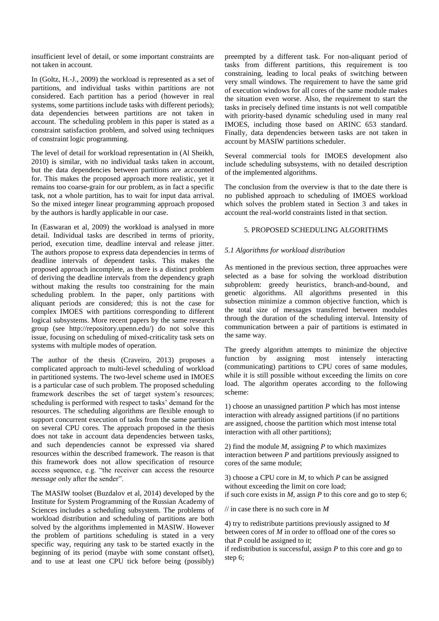insufficient level of detail, or some important constraints are not taken in account.

In (Goltz, H.-J., 2009) the workload is represented as a set of partitions, and individual tasks within partitions are not considered. Each partition has a period (however in real systems, some partitions include tasks with different periods); data dependencies between partitions are not taken in account. The scheduling problem in this paper is stated as a constraint satisfaction problem, and solved using techniques of constraint logic programming.

The level of detail for workload representation in (Al Sheikh, 2010) is similar, with no individual tasks taken in account, but the data dependencies between partitions are accounted for. This makes the proposed approach more realistic, yet it remains too coarse-grain for our problem, as in fact a specific task, not a whole partition, has to wait for input data arrival. So the mixed integer linear programming approach proposed by the authors is hardly applicable in our case.

In (Easwaran et al, 2009) the workload is analysed in more detail. Individual tasks are described in terms of priority, period, execution time, deadline interval and release jitter. The authors propose to express data dependencies in terms of deadline intervals of dependent tasks. This makes the proposed approach incomplete, as there is a distinct problem of deriving the deadline intervals from the dependency graph without making the results too constraining for the main scheduling problem. In the paper, only partitions with aliquant periods are considered; this is not the case for complex IMOES with partitions corresponding to different logical subsystems. More recent papers by the same research group (see http://repository.upenn.edu/) do not solve this issue, focusing on scheduling of mixed-criticality task sets on systems with multiple modes of operation.

The author of the thesis (Craveiro, 2013) proposes a complicated approach to multi-level scheduling of workload in partitioned systems. The two-level scheme used in IMOES is a particular case of such problem. The proposed scheduling framework describes the set of target system's resources; scheduling is performed with respect to tasks' demand for the resources. The scheduling algorithms are flexible enough to support concurrent execution of tasks from the same partition on several CPU cores. The approach proposed in the thesis does not take in account data dependencies between tasks, and such dependencies cannot be expressed via shared resources within the described framework. The reason is that this framework does not allow specification of resource access sequence, e.g. "the receiver can access the resource *message* only after the sender".

The MASIW toolset (Buzdalov et al, 2014) developed by the Institute for System Programming of the Russian Academy of Sciences includes a scheduling subsystem. The problems of workload distribution and scheduling of partitions are both solved by the algorithms implemented in MASIW. However the problem of partitions scheduling is stated in a very specific way, requiring any task to be started exactly in the beginning of its period (maybe with some constant offset), and to use at least one CPU tick before being (possibly)

preempted by a different task. For non-aliquant period of tasks from different partitions, this requirement is too constraining, leading to local peaks of switching between very small windows. The requirement to have the same grid of execution windows for all cores of the same module makes the situation even worse. Also, the requirement to start the tasks in precisely defined time instants is not well compatible with priority-based dynamic scheduling used in many real IMOES, including those based on ARINC 653 standard. Finally, data dependencies between tasks are not taken in account by MASIW partitions scheduler.

Several commercial tools for IMOES development also include scheduling subsystems, with no detailed description of the implemented algorithms.

The conclusion from the overview is that to the date there is no published approach to scheduling of IMOES workload which solves the problem stated in Section 3 and takes in account the real-world constraints listed in that section.

## 5. PROPOSED SCHEDULING ALGORITHMS

## *5.1 Algorithms for workload distribution*

As mentioned in the previous section, three approaches were selected as a base for solving the workload distribution subproblem: greedy heuristics, branch-and-bound, and genetic algorithms. All algorithms presented in this subsection minimize a common objective function, which is the total size of messages transferred between modules through the duration of the scheduling interval. Intensity of communication between a pair of partitions is estimated in the same way.

The greedy algorithm attempts to minimize the objective function by assigning most intensely interacting (communicating) partitions to CPU cores of same modules, while it is still possible without exceeding the limits on core load. The algorithm operates according to the following scheme:

1) choose an unassigned partition *P* which has most intense interaction with already assigned partitions (if no partitions are assigned, choose the partition which most intense total interaction with all other partitions);

2) find the module *M*, assigning *P* to which maximizes interaction between *P* and partitions previously assigned to cores of the same module;

3) choose a CPU core in *M*, to which *P* can be assigned without exceeding the limit on core load; if such core exists in *M*, assign *P* to this core and go to step 6;

// in case there is no such core in *M*

4) try to redistribute partitions previously assigned to *M* between cores of *M* in order to offload one of the cores so that *P* could be assigned to it;

if redistribution is successful, assign *P* to this core and go to step 6;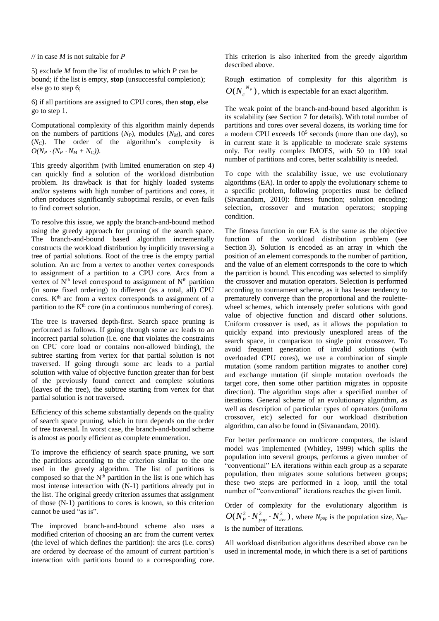// in case *M* is not suitable for *P*

5) exclude *M* from the list of modules to which *P* can be bound; if the list is empty, **stop** (unsuccessful completion); else go to step 6;

6) if all partitions are assigned to CPU cores, then **stop**, else go to step 1.

Computational complexity of this algorithm mainly depends on the numbers of partitions  $(N_P)$ , modules  $(N_M)$ , and cores (*NC*). The order of the algorithm's complexity is  $O(N_P \cdot (N_P \cdot N_M + N_C)).$ 

This greedy algorithm (with limited enumeration on step 4) can quickly find a solution of the workload distribution problem. Its drawback is that for highly loaded systems and/or systems with high number of partitions and cores, it often produces significantly suboptimal results, or even fails to find correct solution.

To resolve this issue, we apply the branch-and-bound method using the greedy approach for pruning of the search space. The branch-and-bound based algorithm incrementally constructs the workload distribution by implicitly traversing a tree of partial solutions. Root of the tree is the empty partial solution. An arc from a vertex to another vertex corresponds to assignment of a partition to a CPU core. Arcs from a vertex of N<sup>th</sup> level correspond to assignment of N<sup>th</sup> partition (in some fixed ordering) to different (as a total, all) CPU cores. K<sup>th</sup> arc from a vertex corresponds to assignment of a partition to the  $K<sup>th</sup>$  core (in a continuous numbering of cores).

The tree is traversed depth-first. Search space pruning is performed as follows. If going through some arc leads to an incorrect partial solution (i.e. one that violates the constraints on CPU core load or contains non-allowed binding), the subtree starting from vertex for that partial solution is not traversed. If going through some arc leads to a partial solution with value of objective function greater than for best of the previously found correct and complete solutions (leaves of the tree), the subtree starting from vertex for that partial solution is not traversed.

Efficiency of this scheme substantially depends on the quality of search space pruning, which in turn depends on the order of tree traversal. In worst case, the branch-and-bound scheme is almost as poorly efficient as complete enumeration.

To improve the efficiency of search space pruning, we sort the partitions according to the criterion similar to the one used in the greedy algorithm. The list of partitions is composed so that the  $N<sup>th</sup>$  partition in the list is one which has most intense interaction with (N-1) partitions already put in the list. The original greedy criterion assumes that assignment of those (N-1) partitions to cores is known, so this criterion cannot be used "as is".

The improved branch-and-bound scheme also uses a modified criterion of choosing an arc from the current vertex (the level of which defines the partition): the arcs (i.e. cores) are ordered by decrease of the amount of current partition's interaction with partitions bound to a corresponding core. This criterion is also inherited from the greedy algorithm described above.

Rough estimation of complexity for this algorithm is  $O(N_c^{N_p})$ , which is expectable for an exact algorithm.

The weak point of the branch-and-bound based algorithm is its scalability (see Section 7 for details). With total number of partitions and cores over several dozens, its working time for a modern CPU exceeds  $10<sup>5</sup>$  seconds (more than one day), so in current state it is applicable to moderate scale systems only. For really complex IMOES, with 50 to 100 total number of partitions and cores, better scalability is needed.

To cope with the scalability issue, we use evolutionary algorithms (EA). In order to apply the evolutionary scheme to a specific problem, following properties must be defined (Sivanandam, 2010): fitness function; solution encoding; selection, crossover and mutation operators; stopping condition.

The fitness function in our EA is the same as the objective function of the workload distribution problem (see Section 3). Solution is encoded as an array in which the position of an element corresponds to the number of partition, and the value of an element corresponds to the core to which the partition is bound. This encoding was selected to simplify the crossover and mutation operators. Selection is performed according to tournament scheme, as it has lesser tendency to prematurely converge than the proportional and the roulettewheel schemes, which intensely prefer solutions with good value of objective function and discard other solutions. Uniform crossover is used, as it allows the population to quickly expand into previously unexplored areas of the search space, in comparison to single point crossover. To avoid frequent generation of invalid solutions (with overloaded CPU cores), we use a combination of simple mutation (some random partition migrates to another core) and exchange mutation (if simple mutation overloads the target core, then some other partition migrates in opposite direction). The algorithm stops after a specified number of iterations. General scheme of an evolutionary algorithm, as well as description of particular types of operators (uniform crossover, etc) selected for our workload distribution algorithm, can also be found in (Sivanandam, 2010).

For better performance on multicore computers, the island model was implemented (Whitley, 1999) which splits the population into several groups, performs a given number of "conventional" EA iterations within each group as a separate population, then migrates some solutions between groups; these two steps are performed in a loop, until the total number of "conventional" iterations reaches the given limit.

Order of complexity for the evolutionary algorithm is  $O(N_P^2 \cdot N_{pop}^2 \cdot N_{iter}^2)$ , where  $N_{pop}$  is the population size,  $N_{iter}$ is the number of iterations.

All workload distribution algorithms described above can be used in incremental mode, in which there is a set of partitions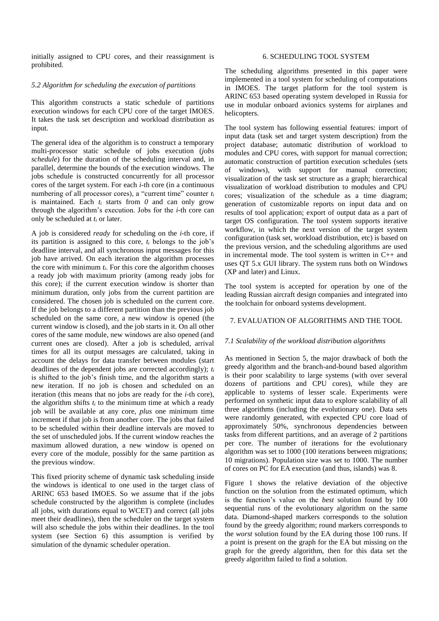initially assigned to CPU cores, and their reassignment is prohibited.

# *5.2 Algorithm for scheduling the execution of partitions*

This algorithm constructs a static schedule of partitions execution windows for each CPU core of the target IMOES. It takes the task set description and workload distribution as input.

The general idea of the algorithm is to construct a temporary multi-processor static schedule of jobs execution (*jobs schedule*) for the duration of the scheduling interval and, in parallel, determine the bounds of the execution windows. The jobs schedule is constructed concurrently for all processor cores of the target system. For each *i-*th core (in a continuous numbering of all processor cores), a "current time" counter *t<sup>i</sup>* is maintained. Each  $t_i$  starts from  $\theta$  and can only grow through the algorithm's execution. Jobs for the *i-*th core can only be scheduled at *t<sup>i</sup>* or later.

A job is considered *ready* for scheduling on the *i*-th core, if its partition is assigned to this core,  $t_i$  belongs to the job's deadline interval, and all synchronous input messages for this job have arrived. On each iteration the algorithm processes the core with minimum *ti*. For this core the algorithm chooses a ready job with maximum priority (among ready jobs for this core); if the current execution window is shorter than minimum duration, only jobs from the current partition are considered. The chosen job is scheduled on the current core. If the job belongs to a different partition than the previous job scheduled on the same core, a new window is opened (the current window is closed), and the job starts in it. On all other cores of the same module, new windows are also opened (and current ones are closed). After a job is scheduled, arrival times for all its output messages are calculated, taking in account the delays for data transfer between modules (start deadlines of the dependent jobs are corrected accordingly); *t<sup>i</sup>* is shifted to the job's finish time, and the algorithm starts a new iteration. If no job is chosen and scheduled on an iteration (this means that no jobs are ready for the *i*-th core), the algorithm shifts  $t_i$  to the minimum time at which a ready job will be available at any core, *plus* one minimum time increment if that job is from another core. The jobs that failed to be scheduled within their deadline intervals are moved to the set of unscheduled jobs. If the current window reaches the maximum allowed duration, a new window is opened on every core of the module, possibly for the same partition as the previous window.

This fixed priority scheme of dynamic task scheduling inside the windows is identical to one used in the target class of ARINC 653 based IMOES. So we assume that if the jobs schedule constructed by the algorithm is complete (includes all jobs, with durations equal to WCET) and correct (all jobs meet their deadlines), then the scheduler on the target system will also schedule the jobs within their deadlines. In the tool system (see Section 6) this assumption is verified by simulation of the dynamic scheduler operation.

# 6. SCHEDULING TOOL SYSTEM

The scheduling algorithms presented in this paper were implemented in a tool system for scheduling of computations in IMOES. The target platform for the tool system is ARINC 653 based operating system developed in Russia for use in modular onboard avionics systems for airplanes and helicopters.

The tool system has following essential features: import of input data (task set and target system description) from the project database; automatic distribution of workload to modules and CPU cores, with support for manual correction; automatic construction of partition execution schedules (sets of windows), with support for manual correction; visualization of the task set structure as a graph; hierarchical visualization of workload distribution to modules and CPU cores; visualization of the schedule as a time diagram; generation of customizable reports on input data and on results of tool application; export of output data as a part of target OS configuration. The tool system supports iterative workflow, in which the next version of the target system configuration (task set, workload distribution, etc) is based on the previous version, and the scheduling algorithms are used in incremental mode. The tool system is written in C++ and uses QT 5.x GUI library. The system runs both on Windows (XP and later) and Linux.

The tool system is accepted for operation by one of the leading Russian aircraft design companies and integrated into the toolchain for onboard systems development.

#### 7. EVALUATION OF ALGORITHMS AND THE TOOL

#### *7.1 Scalability of the workload distribution algorithms*

As mentioned in Section 5, the major drawback of both the greedy algorithm and the branch-and-bound based algorithm is their poor scalability to large systems (with over several dozens of partitions and CPU cores), while they are applicable to systems of lesser scale. Experiments were performed on synthetic input data to explore scalability of all three algorithms (including the evolutionary one). Data sets were randomly generated, with expected CPU core load of approximately 50%, synchronous dependencies between tasks from different partitions, and an average of 2 partitions per core. The number of iterations for the evolutionary algorithm was set to 1000 (100 iterations between migrations; 10 migrations). Population size was set to 1000. The number of cores on PC for EA execution (and thus, islands) was 8.

Figure 1 shows the relative deviation of the objective function on the solution from the estimated optimum, which is the function's value on the *best* solution found by 100 sequential runs of the evolutionary algorithm on the same data. Diamond-shaped markers corresponds to the solution found by the greedy algorithm; round markers corresponds to the *worst* solution found by the EA during those 100 runs. If a point is present on the graph for the EA but missing on the graph for the greedy algorithm, then for this data set the greedy algorithm failed to find a solution.